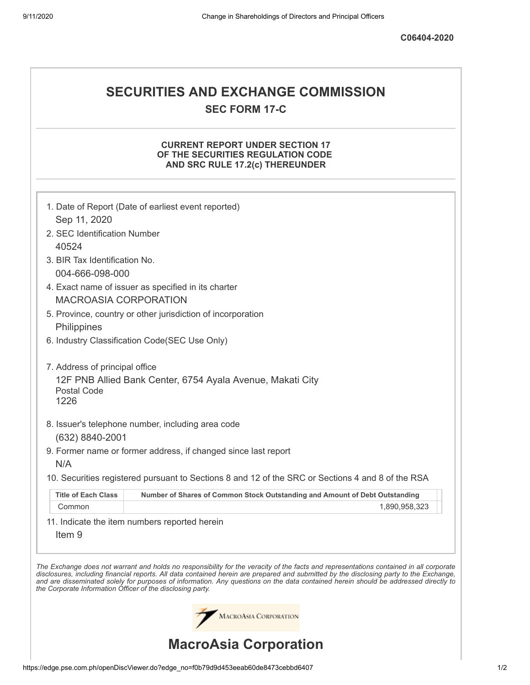# **SECURITIES AND EXCHANGE COMMISSION SEC FORM 17-C**

## **CURRENT REPORT UNDER SECTION 17 OF THE SECURITIES REGULATION CODE AND SRC RULE 17.2(c) THEREUNDER**

|                                                                                     | 1. Date of Report (Date of earliest event reported)                                                                                                                                                                                                                                                                                                                                                                      |  |  |  |  |
|-------------------------------------------------------------------------------------|--------------------------------------------------------------------------------------------------------------------------------------------------------------------------------------------------------------------------------------------------------------------------------------------------------------------------------------------------------------------------------------------------------------------------|--|--|--|--|
| Sep 11, 2020                                                                        |                                                                                                                                                                                                                                                                                                                                                                                                                          |  |  |  |  |
| 2. SEC Identification Number                                                        |                                                                                                                                                                                                                                                                                                                                                                                                                          |  |  |  |  |
| 40524                                                                               |                                                                                                                                                                                                                                                                                                                                                                                                                          |  |  |  |  |
| 3. BIR Tax Identification No.                                                       |                                                                                                                                                                                                                                                                                                                                                                                                                          |  |  |  |  |
| 004-666-098-000                                                                     |                                                                                                                                                                                                                                                                                                                                                                                                                          |  |  |  |  |
| 4. Exact name of issuer as specified in its charter<br><b>MACROASIA CORPORATION</b> |                                                                                                                                                                                                                                                                                                                                                                                                                          |  |  |  |  |
|                                                                                     | 5. Province, country or other jurisdiction of incorporation                                                                                                                                                                                                                                                                                                                                                              |  |  |  |  |
| Philippines                                                                         |                                                                                                                                                                                                                                                                                                                                                                                                                          |  |  |  |  |
| 6. Industry Classification Code(SEC Use Only)                                       |                                                                                                                                                                                                                                                                                                                                                                                                                          |  |  |  |  |
| 7. Address of principal office                                                      |                                                                                                                                                                                                                                                                                                                                                                                                                          |  |  |  |  |
| 12F PNB Allied Bank Center, 6754 Ayala Avenue, Makati City<br>Postal Code<br>1226   |                                                                                                                                                                                                                                                                                                                                                                                                                          |  |  |  |  |
|                                                                                     | 8. Issuer's telephone number, including area code                                                                                                                                                                                                                                                                                                                                                                        |  |  |  |  |
| (632) 8840-2001                                                                     |                                                                                                                                                                                                                                                                                                                                                                                                                          |  |  |  |  |
|                                                                                     | 9. Former name or former address, if changed since last report                                                                                                                                                                                                                                                                                                                                                           |  |  |  |  |
| N/A                                                                                 |                                                                                                                                                                                                                                                                                                                                                                                                                          |  |  |  |  |
|                                                                                     | 10. Securities registered pursuant to Sections 8 and 12 of the SRC or Sections 4 and 8 of the RSA                                                                                                                                                                                                                                                                                                                        |  |  |  |  |
| <b>Title of Each Class</b>                                                          | Number of Shares of Common Stock Outstanding and Amount of Debt Outstanding                                                                                                                                                                                                                                                                                                                                              |  |  |  |  |
| Common                                                                              | 1,890,958,323                                                                                                                                                                                                                                                                                                                                                                                                            |  |  |  |  |
| Item <sub>9</sub>                                                                   | 11. Indicate the item numbers reported herein                                                                                                                                                                                                                                                                                                                                                                            |  |  |  |  |
| the Corporate Information Officer of the disclosing party.                          | The Exchange does not warrant and holds no responsibility for the veracity of the facts and representations contained in all corporate<br>disclosures, including financial reports. All data contained herein are prepared and submitted by the disclosing party to the Exchange,<br>and are disseminated solely for purposes of information. Any questions on the data contained herein should be addressed directly to |  |  |  |  |
|                                                                                     | MACROASIA CORPORATION                                                                                                                                                                                                                                                                                                                                                                                                    |  |  |  |  |
| <b>MacroAsia Corporation</b>                                                        |                                                                                                                                                                                                                                                                                                                                                                                                                          |  |  |  |  |